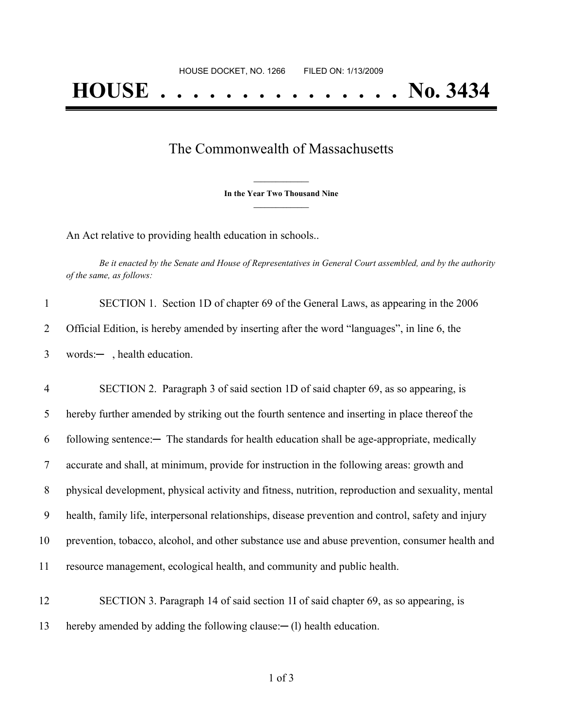## The Commonwealth of Massachusetts

**\_\_\_\_\_\_\_\_\_\_\_\_\_\_\_ In the Year Two Thousand Nine \_\_\_\_\_\_\_\_\_\_\_\_\_\_\_**

An Act relative to providing health education in schools..

Be it enacted by the Senate and House of Representatives in General Court assembled, and by the authority *of the same, as follows:*

|   | SECTION 1. Section 1D of chapter 69 of the General Laws, as appearing in the 2006           |
|---|---------------------------------------------------------------------------------------------|
|   | Official Edition, is hereby amended by inserting after the word "languages", in line 6, the |
| 3 | words: $-$ , health education.                                                              |

 SECTION 2. Paragraph 3 of said section 1D of said chapter 69, as so appearing, is hereby further amended by striking out the fourth sentence and inserting in place thereof the 6 following sentence:— The standards for health education shall be age-appropriate, medically accurate and shall, at minimum, provide for instruction in the following areas: growth and physical development, physical activity and fitness, nutrition, reproduction and sexuality, mental health, family life, interpersonal relationships, disease prevention and control, safety and injury prevention, tobacco, alcohol, and other substance use and abuse prevention, consumer health and resource management, ecological health, and community and public health.

12 SECTION 3. Paragraph 14 of said section 1I of said chapter 69, as so appearing, is 13 hereby amended by adding the following clause: — (1) health education.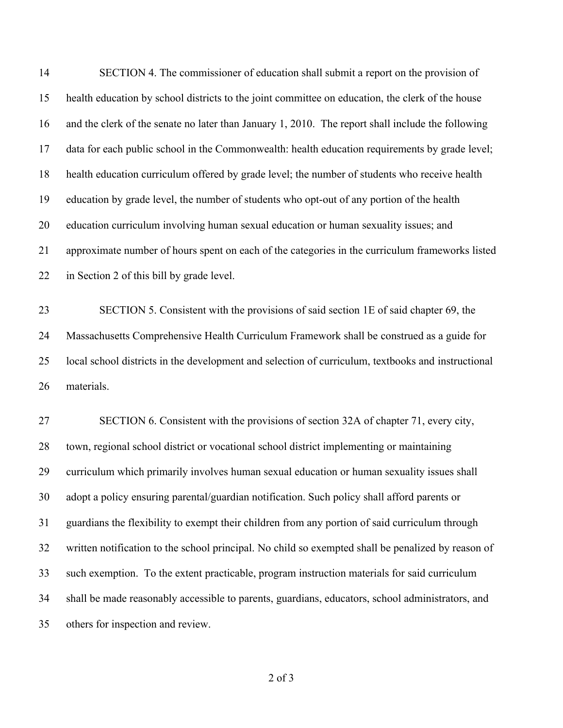SECTION 4. The commissioner of education shall submit a report on the provision of health education by school districts to the joint committee on education, the clerk of the house and the clerk of the senate no later than January 1, 2010. The report shall include the following data for each public school in the Commonwealth: health education requirements by grade level; health education curriculum offered by grade level; the number of students who receive health education by grade level, the number of students who opt-out of any portion of the health education curriculum involving human sexual education or human sexuality issues; and approximate number of hours spent on each of the categories in the curriculum frameworks listed in Section 2 of this bill by grade level. SECTION 5. Consistent with the provisions of said section 1E of said chapter 69, the Massachusetts Comprehensive Health Curriculum Framework shall be construed as a guide for local school districts in the development and selection of curriculum, textbooks and instructional materials. SECTION 6. Consistent with the provisions of section 32A of chapter 71, every city, town, regional school district or vocational school district implementing or maintaining curriculum which primarily involves human sexual education or human sexuality issues shall adopt a policy ensuring parental/guardian notification. Such policy shall afford parents or guardians the flexibility to exempt their children from any portion of said curriculum through written notification to the school principal. No child so exempted shall be penalized by reason of such exemption. To the extent practicable, program instruction materials for said curriculum shall be made reasonably accessible to parents, guardians, educators, school administrators, and others for inspection and review.

of 3